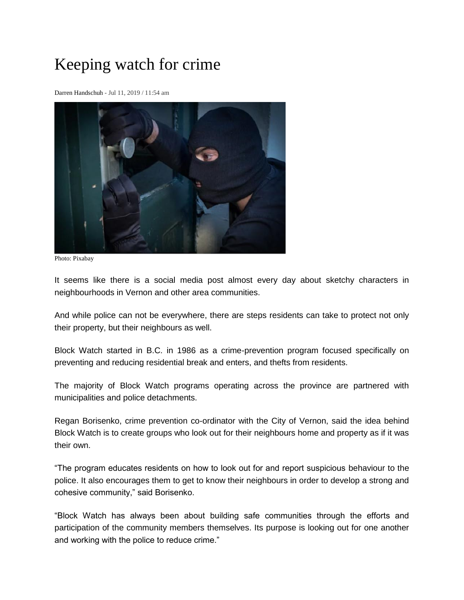## Keeping watch for crime

[Darren Handschuh](https://www.castanet.net/reporter/Darren-Handschuh) - Jul 11, 2019 / 11:54 am



Photo: Pixabay

It seems like there is a social media post almost every day about sketchy characters in neighbourhoods in Vernon and other area communities.

And while police can not be everywhere, there are steps residents can take to protect not only their property, but their neighbours as well.

Block Watch started in B.C. in 1986 as a crime-prevention program focused specifically on preventing and reducing residential break and enters, and thefts from residents.

The majority of Block Watch programs operating across the province are partnered with municipalities and police detachments.

Regan Borisenko, crime prevention co-ordinator with the City of Vernon, said the idea behind Block Watch is to create groups who look out for their neighbours home and property as if it was their own.

"The program educates residents on how to look out for and report suspicious behaviour to the police. It also encourages them to get to know their neighbours in order to develop a strong and cohesive community," said Borisenko.

"Block Watch has always been about building safe communities through the efforts and participation of the community members themselves. Its purpose is looking out for one another and working with the police to reduce crime."